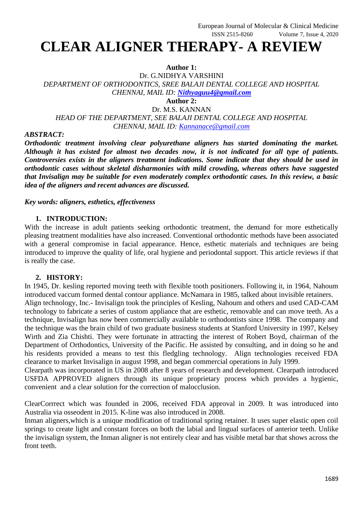# **CLEAR ALIGNER THERAPY- A REVIEW**

## **Author 1:**

Dr. G.NIDHYA VARSHINI *DEPARTMENT OF ORTHODONTICS, SREE BALAJI DENTAL COLLEGE AND HOSPITAL CHENNAI, MAIL ID: [Nithyaguu4@gmail.com](mailto:Nithyaguu4@gmail.com)* **Author 2:**

Dr. M.S. KANNAN

*HEAD OF THE DEPARTMENT, SEE BALAJI DENTAL COLLEGE AND HOSPITAL CHENNAI, MAIL ID: [Kannanace@gmail.com](mailto:Kannanace@gmail.com)*

## *ABSTRACT:*

*Orthodontic treatment involving clear polyurethane aligners has started dominating the market. Although it has existed for almost two decades now, it is not indicated for all type of patients. Controversies exists in the aligners treatment indications. Some indicate that they should be used in orthodontic cases without skeletal disharmonies with mild crowding, whereas others have suggested that Invisalign may be suitable for even moderately complex orthodontic cases. In this review, a basic idea of the aligners and recent advances are discussed.*

*Key words: aligners, esthetics, effectiveness*

## **1. INTRODUCTION:**

With the increase in adult patients seeking orthodontic treatment, the demand for more esthetically pleasing treatment modalities have also increased. Conventional orthodontic methods have been associated with a general compromise in facial appearance. Hence, esthetic materials and techniques are being introduced to improve the quality of life, oral hygiene and periodontal support. This article reviews if that is really the case.

### **2. HISTORY:**

In 1945, Dr. kesling reported moving teeth with flexible tooth positioners. Following it, in 1964, Nahoum introduced vaccum formed dental contour appliance. McNamara in 1985, talked about invisible retainers. Align technology, Inc.- Invisalign took the principles of Kesling, Nahoum and others and used CAD-CAM technology to fabricate a series of custom appliance that are esthetic, removable and can move teeth. As a technique, Invisalign has now been commercially available to orthodontists since 1998. The company and the technique was the brain child of two graduate business students at Stanford University in 1997, Kelsey Wirth and Zia Chishti. They were fortunate in attracting the interest of Robert Boyd, chairman of the Department of Orthodontics, University of the Pacific. He assisted by consulting, and in doing so he and his residents provided a means to test this fledgling technology. Align technologies received FDA clearance to market Invisalign in august 1998, and began commercial operations in July 1999.

Clearpath was incorporated in US in 2008 after 8 years of research and development. Clearpath introduced USFDA APPROVED aligners through its unique proprietary process which provides a hygienic, convenient and a clear solution for the correction of malocclusion.

ClearCorrrect which was founded in 2006, received FDA approval in 2009. It was introduced into Australia via osseodent in 2015. K-line was also introduced in 2008.

Inman aligners,which is a unique modification of traditional spring retainer. It uses super elastic open coil springs to create light and constant forces on both the labial and lingual surfaces of anterior teeth. Unlike the invisalign system, the Inman aligner is not entirely clear and has visible metal bar that shows across the front teeth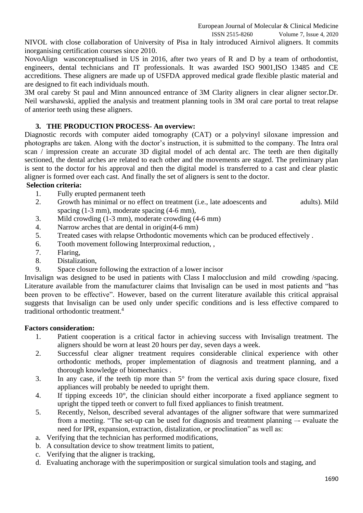NIVOL with close collaboration of University of Pisa in Italy introduced Airnivol aligners. It commits inorganising certification courses since 2010.

NovoAlign wasconceptualised in US in 2016, after two years of R and D by a team of orthodontist, engineers, dental technicians and IT professionals. It was awarded ISO 9001,ISO 13485 and CE accreditions. These aligners are made up of USFDA approved medical grade flexible plastic material and are designed to fit each individuals mouth.

3M oral careby St paul and Minn announced entrance of 3M Clarity aligners in clear aligner sector.Dr. Neil warshawski, applied the analysis and treatment planning tools in 3M oral care portal to treat relapse of anterior teeth using these aligners.

## **3. THE PRODUCTION PROCESS- An overview:**

Diagnostic records with computer aided tomography (CAT) or a polyvinyl siloxane impression and photographs are taken. Along with the doctor's instruction, it is submitted to the company. The Intra oral scan / impression create an accurate 3D digital model of ach dental arc. The teeth are then digitally sectioned, the dental arches are related to each other and the movements are staged. The preliminary plan is sent to the doctor for his approval and then the digital model is transferred to a cast and clear plastic aligner is formed over each cast. And finally the set of aligners is sent to the doctor.

#### **Selection criteria:**

- 1. Fully erupted permanent teeth
- 2. Growth has minimal or no effect on treatment (i.e., late adoescents and adults). Mild spacing (1-3 mm), moderate spacing (4-6 mm),
- 3. Mild crowding (1-3 mm), moderate crowding (4-6 mm)
- 4. Narrow arches that are dental in origin(4-6 mm)
- 5. Treated cases with relapse Orthodontic movements which can be produced effectively .
- 6. Tooth movement following Interproximal reduction, ,
- 7. Flaring,
- 8. Distalization,
- 9. Space closure following the extraction of a lower incisor

Invisalign was designed to be used in patients with Class I malocclusion and mild crowding /spacing. Literature available from the manufacturer claims that Invisalign can be used in most patients and "has been proven to be effective". However, based on the current literature available this critical appraisal suggests that Invisalign can be used only under specific conditions and is less effective compared to traditional orthodontic treatment. 4

#### **Factors consideration:**

- 1. Patient cooperation is a critical factor in achieving success with Invisalign treatment. The aligners should be worn at least 20 hours per day, seven days a week.
- 2. Successful clear aligner treatment requires considerable clinical experience with other orthodontic methods, proper implementation of diagnosis and treatment planning, and a thorough knowledge of biomechanics .
- 3. In any case, if the teeth tip more than 5° from the vertical axis during space closure, fixed appliances will probably be needed to upright them.
- 4. If tipping exceeds 10°, the clinician should either incorporate a fixed appliance segment to upright the tipped teeth or convert to full fixed appliances to finish treatment.
- 5. Recently, Nelson, described several advantages of the aligner software that were summarized from a meeting. "The set-up can be used for diagnosis and treatment planning –- evaluate the need for IPR, expansion, extraction, distalization, or proclination" as well as:
- a. Verifying that the technician has performed modifications,
- b. A consultation device to show treatment limits to patient,
- c. Verifying that the aligner is tracking,
- d. Evaluating anchorage with the superimposition or surgical simulation tools and staging, and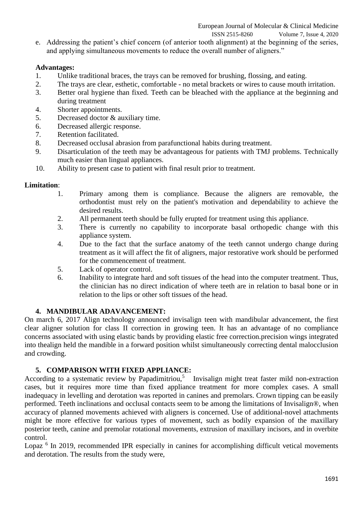e. Addressing the patient's chief concern (of anterior tooth alignment) at the beginning of the series, and applying simultaneous movements to reduce the overall number of aligners."

# **Advantages:**

- 1. Unlike traditional braces, the trays can be removed for brushing, flossing, and eating.
- 2. The trays are clear, esthetic, comfortable no metal brackets or wires to cause mouth irritation.
- 3. Better oral hygiene than fixed. Teeth can be bleached with the appliance at the beginning and during treatment
- 4. Shorter appointments.
- 5. Decreased doctor & auxiliary time.
- 6. Decreased allergic response.
- 7. Retention facilitated.
- 8. Decreased occlusal abrasion from parafunctional habits during treatment.
- 9. Disarticulation of the teeth may be advantageous for patients with TMJ problems. Technically much easier than lingual appliances.
- 10. Ability to present case to patient with final result prior to treatment.

## **Limitation**:

- 1. Primary among them is compliance. Because the aligners are removable, the orthodontist must rely on the patient's motivation and dependability to achieve the desired results.
- 2. All permanent teeth should be fully erupted for treatment using this appliance.
- 3. There is currently no capability to incorporate basal orthopedic change with this appliance system.
- 4. Due to the fact that the surface anatomy of the teeth cannot undergo change during treatment as it will affect the fit of aligners, major restorative work should be performed for the commencement of treatment.
- 5. Lack of operator control.
- 6. Inability to integrate hard and soft tissues of the head into the computer treatment. Thus, the clinician has no direct indication of where teeth are in relation to basal bone or in relation to the lips or other soft tissues of the head.

# **4. MANDIBULAR ADAVANCEMENT:**

On march 6, 2017 Align technology announced invisalign teen with mandibular advancement, the first clear aligner solution for class II correction in growing teen. It has an advantage of no compliance concerns associated with using elastic bands by providing elastic free correction.precision wings integrated into thealign held the mandible in a forward position whilst simultaneously correcting dental malocclusion and crowding.

# **5. COMPARISON WITH FIXED APPLIANCE:**

According to a systematic review by Papadimitriou,<sup>5</sup> Invisalign might treat faster mild non-extraction cases, but it requires more time than fixed appliance treatment for more complex cases. A small inadequacy in levelling and derotation was reported in canines and premolars. Crown tipping can be easily performed. Teeth inclinations and occlusal contacts seem to be among the limitations of Invisalign®, when accuracy of planned movements achieved with aligners is concerned. Use of additional-novel attachments might be more effective for various types of movement, such as bodily expansion of the maxillary posterior teeth, canine and premolar rotational movements, extrusion of maxillary incisors, and in overbite control.

Lopaz<sup>6</sup> In 2019, recommended IPR especially in canines for accomplishing difficult vetical movements and derotation. The results from the study were,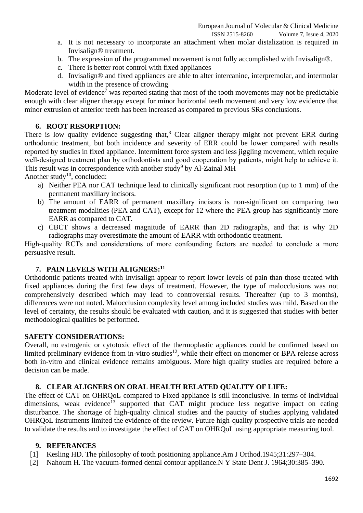ISSN 2515-8260 Volume 7, Issue 4, 2020

- a. It is not necessary to incorporate an attachment when molar distalization is required in Invisalign® treatment.
- b. The expression of the programmed movement is not fully accomplished with Invisalign®.
- c. There is better root control with fixed appliances
- d. Invisalign® and fixed appliances are able to alter intercanine, interpremolar, and intermolar width in the presence of crowding

Moderate level of evidence<sup>7</sup> was reported stating that most of the tooth movements may not be predictable enough with clear aligner therapy except for minor horizontal teeth movement and very low evidence that minor extrusion of anterior teeth has been increased as compared to previous SRs conclusions.

## **6. ROOT RESORPTION:**

There is low quality evidence suggesting that, $8$  Clear aligner therapy might not prevent ERR during orthodontic treatment, but both incidence and severity of ERR could be lower compared with results reported by studies in fixed appliance. Intermittent force system and less jiggling movement, which require well-designed treatment plan by orthodontists and good cooperation by patients, might help to achieve it. This result was in correspondence with another study<sup>9</sup> by Al-Zainal MH

Another study<sup>10</sup>, concluded:

- a) Neither PEA nor CAT technique lead to clinically significant root resorption (up to 1 mm) of the permanent maxillary incisors.
- b) The amount of EARR of permanent maxillary incisors is non-significant on comparing two treatment modalities (PEA and CAT), except for 12 where the PEA group has significantly more EARR as compared to CAT.
- c) CBCT shows a decreased magnitude of EARR than 2D radiographs, and that is why 2D radiographs may overestimate the amount of EARR with orthodontic treatment.

High-quality RCTs and considerations of more confounding factors are needed to conclude a more persuasive result.

## **7. PAIN LEVELS WITH ALIGNERS:<sup>11</sup>**

Orthodontic patients treated with Invisalign appear to report lower levels of pain than those treated with fixed appliances during the first few days of treatment. However, the type of malocclusions was not comprehensively described which may lead to controversial results. Thereafter (up to 3 months), differences were not noted. Malocclusion complexity level among included studies was mild. Based on the level of certainty, the results should be evaluated with caution, and it is suggested that studies with better methodological qualities be performed.

#### **SAFETY CONSIDERATIONS:**

Overall, no estrogenic or cytotoxic effect of the thermoplastic appliances could be confirmed based on limited preliminary evidence from in-vitro studies<sup>12</sup>, while their effect on monomer or BPA release across both in-vitro and clinical evidence remains ambiguous. More high quality studies are required before a decision can be made.

## **8. CLEAR ALIGNERS ON ORAL HEALTH RELATED QUALITY OF LIFE:**

The effect of CAT on OHRQoL compared to Fixed appliance is still inconclusive. In terms of individual dimensions, weak evidence<sup>13</sup> supported that CAT might produce less negative impact on eating disturbance. The shortage of high-quality clinical studies and the paucity of studies applying validated OHRQoL instruments limited the evidence of the review. Future high-quality prospective trials are needed to validate the results and to investigate the effect of CAT on OHRQoL using appropriate measuring tool.

#### **9. REFERANCES**

- [1] Kesling HD. The philosophy of tooth positioning appliance.Am J Orthod.1945;31:297–304.
- [2] Nahoum H. The vacuum-formed dental contour appliance.N Y State Dent J. 1964;30:385–390.